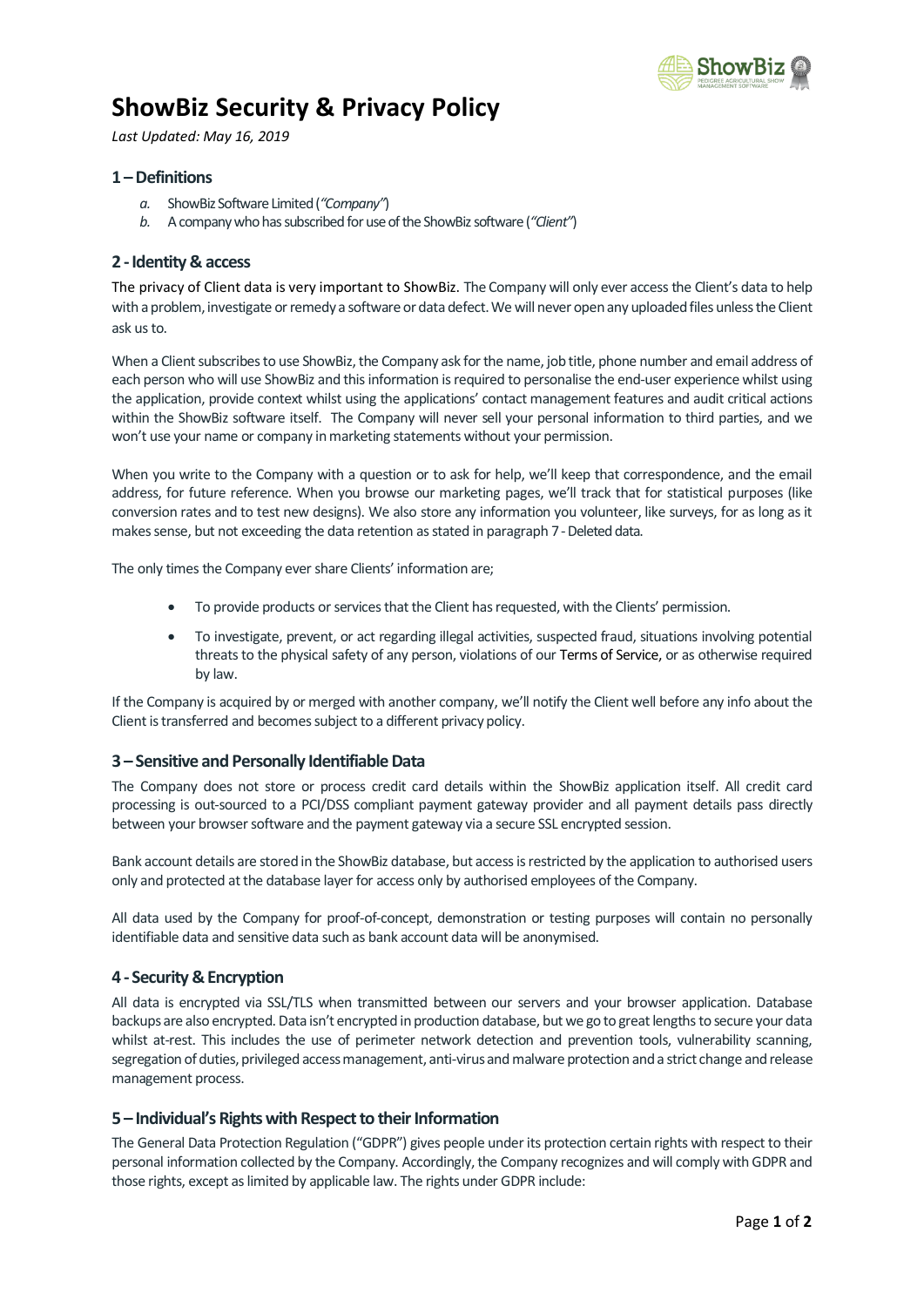

# **ShowBiz Security & Privacy Policy**

*Last Updated: May 16, 2019*

## **1 –Definitions**

- *a.* ShowBiz Software Limited (*"Company"*)
- *b.* A company who has subscribedfor use of the ShowBiz software (*"Client"*)

## **2 -Identity & access**

The privacy of Client data is very important to ShowBiz. The Company will only ever access the Client's data to help with a problem, investigate or remedy a software or data defect. We will never open any uploaded files unless the Client ask us to.

When a Client subscribes to use ShowBiz, the Company ask for the name, job title, phone number and email address of each person who will use ShowBiz and this information is required to personalise the end-user experience whilst using the application, provide context whilst using the applications' contact management features and audit critical actions within the ShowBiz software itself. The Company will never sell your personal information to third parties, and we won't use your name or company in marketing statements without your permission.

When you write to the Company with a question or to ask for help, we'll keep that correspondence, and the email address, for future reference. When you browse our marketing pages, we'll track that for statistical purposes (like conversion rates and to test new designs). We also store any information you volunteer, like surveys, for as long as it makes sense, but not exceeding the data retention as stated in paragraph 7 - Deleted data.

The only times the Company ever share Clients' information are;

- To provide products or services that the Client has requested, with the Clients' permission.
- To investigate, prevent, or act regarding illegal activities, suspected fraud, situations involving potential threats to the physical safety of any person, violations of our Terms of Service, or as otherwise required by law.

If the Company is acquired by or merged with another company, we'll notify the Client well before any info about the Client is transferred and becomes subject to a different privacy policy.

## **3 – Sensitive and Personally Identifiable Data**

The Company does not store or process credit card details within the ShowBiz application itself. All credit card processing is out-sourced to a PCI/DSS compliant payment gateway provider and all payment details pass directly between your browser software and the payment gateway via a secure SSL encrypted session.

Bank account details are stored in the ShowBiz database, but access is restricted by the application to authorised users only and protected at the database layer for access only by authorised employees of the Company.

All data used by the Company for proof-of-concept, demonstration or testing purposes will contain no personally identifiable data and sensitive data such as bank account data will be anonymised.

## **4 - Security & Encryption**

All data is encrypted via SSL/TLS when transmitted between our servers and your browser application. Database backups are also encrypted. Data isn't encrypted in production database, but we go to great lengths to secure your data whilst at-rest. This includes the use of perimeter network detection and prevention tools, vulnerability scanning, segregation of duties, privileged access management, anti-virus and malware protection and a strict change and release management process.

## **5 – Individual's Rights with Respect to their Information**

The General Data Protection Regulation ("GDPR") gives people under its protection certain rights with respect to their personal information collected by the Company. Accordingly, the Company recognizes and will comply with GDPR and those rights, except as limited by applicable law. The rights under GDPR include: